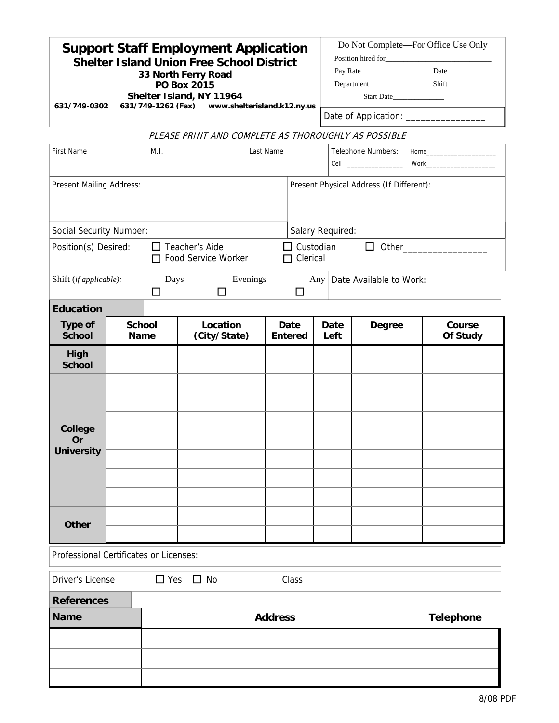| <b>Support Staff Employment Application</b><br><b>Shelter Island Union Free School District</b><br>33 North Ferry Road<br><b>PO Box 2015</b><br>Shelter Island, NY 11964<br>631/749-0302<br>631/749-1262 (Fax) www.shelterisland.k12.ny.us |                                          |  |                                                     |                        |  |                         | Do Not Complete-For Office Use Only<br>Start Date<br>Date of Application: _________________ |                    |  |  |
|--------------------------------------------------------------------------------------------------------------------------------------------------------------------------------------------------------------------------------------------|------------------------------------------|--|-----------------------------------------------------|------------------------|--|-------------------------|---------------------------------------------------------------------------------------------|--------------------|--|--|
|                                                                                                                                                                                                                                            |                                          |  | PLEASE PRINT AND COMPLETE AS THOROUGHLY AS POSSIBLE |                        |  |                         |                                                                                             |                    |  |  |
| <b>First Name</b><br>M.I.<br>Last Name                                                                                                                                                                                                     |                                          |  |                                                     |                        |  | Telephone Numbers: Home |                                                                                             |                    |  |  |
| Present Mailing Address:                                                                                                                                                                                                                   | Present Physical Address (If Different): |  |                                                     |                        |  |                         |                                                                                             |                    |  |  |
| Salary Required:<br>Social Security Number:                                                                                                                                                                                                |                                          |  |                                                     |                        |  |                         |                                                                                             |                    |  |  |
| $\Box$ Custodian<br>Position(s) Desired:<br>$\Box$ Teacher's Aide<br>$\Box$ Other__________________<br>□ Food Service Worker<br>$\Box$ Clerical                                                                                            |                                          |  |                                                     |                        |  |                         |                                                                                             |                    |  |  |
| Evenings<br>Shift (if applicable):<br>Days<br>Any Date Available to Work:<br>$\Box$<br>$\Box$<br>$\Box$                                                                                                                                    |                                          |  |                                                     |                        |  |                         |                                                                                             |                    |  |  |
| <b>Education</b>                                                                                                                                                                                                                           |                                          |  |                                                     |                        |  |                         |                                                                                             |                    |  |  |
| <b>Type of</b><br><b>School</b>                                                                                                                                                                                                            | <b>School</b><br><b>Name</b>             |  | Location<br>(City/State)                            | Date<br><b>Entered</b> |  | Date<br>Left            | <b>Degree</b>                                                                               | Course<br>Of Study |  |  |
| High<br><b>School</b>                                                                                                                                                                                                                      |                                          |  |                                                     |                        |  |                         |                                                                                             |                    |  |  |
| <b>College</b><br><b>Or</b><br><b>University</b>                                                                                                                                                                                           |                                          |  |                                                     |                        |  |                         |                                                                                             |                    |  |  |
| <b>Other</b>                                                                                                                                                                                                                               |                                          |  |                                                     |                        |  |                         |                                                                                             |                    |  |  |
| Professional Certificates or Licenses:                                                                                                                                                                                                     |                                          |  |                                                     |                        |  |                         |                                                                                             |                    |  |  |
| $\Box$ Yes $\Box$ No<br>Driver's License<br>Class                                                                                                                                                                                          |                                          |  |                                                     |                        |  |                         |                                                                                             |                    |  |  |
| <b>References</b><br><b>Name</b><br><b>Address</b>                                                                                                                                                                                         |                                          |  |                                                     |                        |  |                         |                                                                                             | <b>Telephone</b>   |  |  |
|                                                                                                                                                                                                                                            |                                          |  |                                                     |                        |  |                         |                                                                                             |                    |  |  |